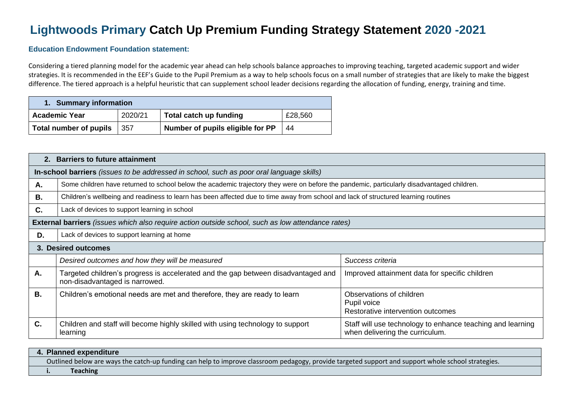## **Lightwoods Primary Catch Up Premium Funding Strategy Statement 2020 -2021**

## **Education Endowment Foundation statement:**

Considering a tiered planning model for the academic year ahead can help schools balance approaches to improving teaching, targeted academic support and wider strategies. It is recommended in the EEF's Guide to the Pupil Premium as a way to help schools focus on a small number of strategies that are likely to make the biggest difference. The tiered approach is a helpful heuristic that can supplement school leader decisions regarding the allocation of funding, energy, training and time.

| 1. Summary information |         |                                  |         |  |  |
|------------------------|---------|----------------------------------|---------|--|--|
| <b>Academic Year</b>   | 2020/21 | Total catch up funding           | £28,560 |  |  |
| Total number of pupils | 357     | Number of pupils eligible for PP | 44      |  |  |

|           | 2. Barriers to future attainment                                                                                                           |                                                                                               |  |  |  |  |  |
|-----------|--------------------------------------------------------------------------------------------------------------------------------------------|-----------------------------------------------------------------------------------------------|--|--|--|--|--|
|           | In-school barriers (issues to be addressed in school, such as poor oral language skills)                                                   |                                                                                               |  |  |  |  |  |
| А.        | Some children have returned to school below the academic trajectory they were on before the pandemic, particularly disadvantaged children. |                                                                                               |  |  |  |  |  |
| <b>B.</b> | Children's wellbeing and readiness to learn has been affected due to time away from school and lack of structured learning routines        |                                                                                               |  |  |  |  |  |
| C.        | Lack of devices to support learning in school                                                                                              |                                                                                               |  |  |  |  |  |
|           | <b>External barriers</b> (issues which also require action outside school, such as low attendance rates)                                   |                                                                                               |  |  |  |  |  |
| D.        | Lack of devices to support learning at home                                                                                                |                                                                                               |  |  |  |  |  |
|           | 3. Desired outcomes                                                                                                                        |                                                                                               |  |  |  |  |  |
|           | Desired outcomes and how they will be measured                                                                                             | Success criteria                                                                              |  |  |  |  |  |
| А.        | Targeted children's progress is accelerated and the gap between disadvantaged and<br>non-disadvantaged is narrowed.                        | Improved attainment data for specific children                                                |  |  |  |  |  |
| <b>B.</b> | Children's emotional needs are met and therefore, they are ready to learn                                                                  | Observations of children<br>Pupil voice<br>Restorative intervention outcomes                  |  |  |  |  |  |
| C.        | Children and staff will become highly skilled with using technology to support<br>learning                                                 | Staff will use technology to enhance teaching and learning<br>when delivering the curriculum. |  |  |  |  |  |

|  | 4. Planned expenditure                                                                                                                             |
|--|----------------------------------------------------------------------------------------------------------------------------------------------------|
|  | Outlined below are ways the catch-up funding can help to improve classroom pedagogy, provide targeted support and support whole school strategies. |
|  | <b>Teaching</b>                                                                                                                                    |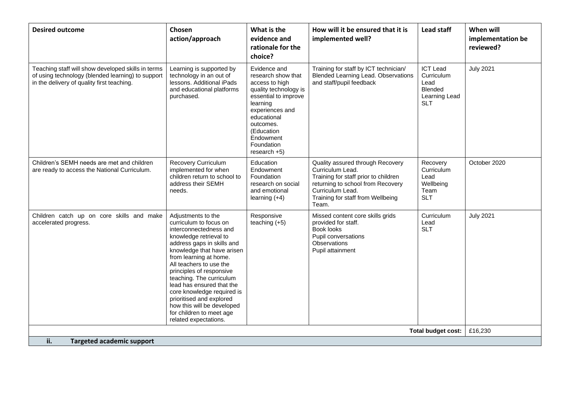| <b>Desired outcome</b>                                                                                                                                | Chosen<br>action/approach                                                                                                                                                                                                                                                                                                                                                                                                                           | What is the<br>evidence and<br>rationale for the<br>choice?                                                                                                                                                                        | How will it be ensured that it is<br>implemented well?                                                                                                                                              | <b>Lead staff</b>                                                                      | When will<br>implementation be<br>reviewed? |
|-------------------------------------------------------------------------------------------------------------------------------------------------------|-----------------------------------------------------------------------------------------------------------------------------------------------------------------------------------------------------------------------------------------------------------------------------------------------------------------------------------------------------------------------------------------------------------------------------------------------------|------------------------------------------------------------------------------------------------------------------------------------------------------------------------------------------------------------------------------------|-----------------------------------------------------------------------------------------------------------------------------------------------------------------------------------------------------|----------------------------------------------------------------------------------------|---------------------------------------------|
| Teaching staff will show developed skills in terms<br>of using technology (blended learning) to support<br>in the delivery of quality first teaching. | Learning is supported by<br>technology in an out of<br>lessons. Additional iPads<br>and educational platforms<br>purchased.                                                                                                                                                                                                                                                                                                                         | Evidence and<br>research show that<br>access to high<br>quality technology is<br>essential to improve<br>learning<br>experiences and<br>educational<br>outcomes.<br>(Education<br>Endowment<br><b>Foundation</b><br>$res\,ch + 5)$ | Training for staff by ICT technician/<br>Blended Learning Lead. Observations<br>and staff/pupil feedback                                                                                            | <b>ICT Lead</b><br>Curriculum<br>Lead<br><b>Blended</b><br>Learning Lead<br><b>SLT</b> | <b>July 2021</b>                            |
| Children's SEMH needs are met and children<br>are ready to access the National Curriculum.                                                            | <b>Recovery Curriculum</b><br>implemented for when<br>children return to school to<br>address their SEMH<br>needs.                                                                                                                                                                                                                                                                                                                                  | Education<br>Endowment<br>Foundation<br>research on social<br>and emotional<br>learning $(+4)$                                                                                                                                     | Quality assured through Recovery<br>Curriculum Lead.<br>Training for staff prior to children<br>returning to school from Recovery<br>Curriculum Lead.<br>Training for staff from Wellbeing<br>Team. | Recovery<br>Curriculum<br>Lead<br>Wellbeing<br>Team<br><b>SLT</b>                      | October 2020                                |
| Children catch up on core skills and make<br>accelerated progress.                                                                                    | Adjustments to the<br>curriculum to focus on<br>interconnectedness and<br>knowledge retrieval to<br>address gaps in skills and<br>knowledge that have arisen<br>from learning at home.<br>All teachers to use the<br>principles of responsive<br>teaching. The curriculum<br>lead has ensured that the<br>core knowledge required is<br>prioritised and explored<br>how this will be developed<br>for children to meet age<br>related expectations. | Responsive<br>teaching $(+5)$                                                                                                                                                                                                      | Missed content core skills grids<br>provided for staff.<br>Book looks<br>Pupil conversations<br>Observations<br>Pupil attainment                                                                    | Curriculum<br>Lead<br><b>SLT</b>                                                       | <b>July 2021</b>                            |
| <b>Total budget cost:</b>                                                                                                                             |                                                                                                                                                                                                                                                                                                                                                                                                                                                     |                                                                                                                                                                                                                                    |                                                                                                                                                                                                     |                                                                                        | £16,230                                     |
| ii.<br>Targeted academic support                                                                                                                      |                                                                                                                                                                                                                                                                                                                                                                                                                                                     |                                                                                                                                                                                                                                    |                                                                                                                                                                                                     |                                                                                        |                                             |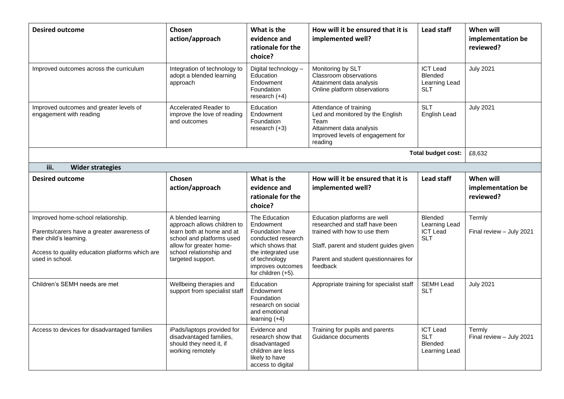| <b>Desired outcome</b>                                                                                                                                                            | <b>Chosen</b><br>action/approach                                                                                                                                                       | What is the<br>evidence and<br>rationale for the<br>choice?                                                                                                               | How will it be ensured that it is<br>implemented well?                                                                                                                                        | Lead staff                                                       | When will<br>implementation be<br>reviewed? |
|-----------------------------------------------------------------------------------------------------------------------------------------------------------------------------------|----------------------------------------------------------------------------------------------------------------------------------------------------------------------------------------|---------------------------------------------------------------------------------------------------------------------------------------------------------------------------|-----------------------------------------------------------------------------------------------------------------------------------------------------------------------------------------------|------------------------------------------------------------------|---------------------------------------------|
| Improved outcomes across the curriculum                                                                                                                                           | Integration of technology to<br>adopt a blended learning<br>approach                                                                                                                   | Digital technology -<br>Education<br>Endowment<br>Foundation<br>research $(+4)$                                                                                           | Monitoring by SLT<br>Classroom observations<br>Attainment data analysis<br>Online platform observations                                                                                       | <b>ICT Lead</b><br>Blended<br>Learning Lead<br><b>SLT</b>        | <b>July 2021</b>                            |
| Improved outcomes and greater levels of<br>engagement with reading                                                                                                                | Accelerated Reader to<br>improve the love of reading<br>and outcomes                                                                                                                   | Education<br>Endowment<br>Foundation<br>research $(+3)$                                                                                                                   | Attendance of training<br>Led and monitored by the English<br>Team<br>Attainment data analysis<br>Improved levels of engagement for<br>reading                                                | <b>SLT</b><br>English Lead                                       | <b>July 2021</b>                            |
|                                                                                                                                                                                   |                                                                                                                                                                                        |                                                                                                                                                                           |                                                                                                                                                                                               | <b>Total budget cost:</b>                                        | £8,632                                      |
| iii.<br><b>Wider strategies</b>                                                                                                                                                   |                                                                                                                                                                                        |                                                                                                                                                                           |                                                                                                                                                                                               |                                                                  |                                             |
| <b>Desired outcome</b>                                                                                                                                                            | <b>Chosen</b><br>action/approach                                                                                                                                                       | What is the<br>evidence and<br>rationale for the<br>choice?                                                                                                               | How will it be ensured that it is<br>implemented well?                                                                                                                                        | Lead staff                                                       | When will<br>implementation be<br>reviewed? |
| Improved home-school relationship.<br>Parents/carers have a greater awareness of<br>their child's learning.<br>Access to quality education platforms which are<br>used in school. | A blended learning<br>approach allows children to<br>learn both at home and at<br>school and platforms used<br>allow for greater home-<br>school relationship and<br>targeted support. | The Education<br>Endowment<br>Foundation have<br>conducted research<br>which shows that<br>the integrated use<br>of technology<br>improves outcomes<br>for children (+5). | Education platforms are well<br>researched and staff have been<br>trained with how to use them<br>Staff, parent and student guides given<br>Parent and student questionnaires for<br>feedback | <b>Blended</b><br>Learning Lead<br><b>ICT Lead</b><br><b>SLT</b> | Termly<br>Final review - July 2021          |
| Children's SEMH needs are met                                                                                                                                                     | Wellbeing therapies and<br>support from specialist staff                                                                                                                               | Education<br>Endowment<br>Foundation<br>research on social<br>and emotional<br>learning $(+4)$                                                                            | Appropriate training for specialist staff                                                                                                                                                     | <b>SEMH Lead</b><br><b>SLT</b>                                   | <b>July 2021</b>                            |
| Access to devices for disadvantaged families                                                                                                                                      | iPads/laptops provided for<br>disadvantaged families,<br>should they need it, if<br>working remotely                                                                                   | Evidence and<br>research show that<br>disadvantaged<br>children are less<br>likely to have<br>access to digital                                                           | Training for pupils and parents<br>Guidance documents                                                                                                                                         | <b>ICT Lead</b><br><b>SLT</b><br><b>Blended</b><br>Learning Lead | Termly<br>Final review - July 2021          |